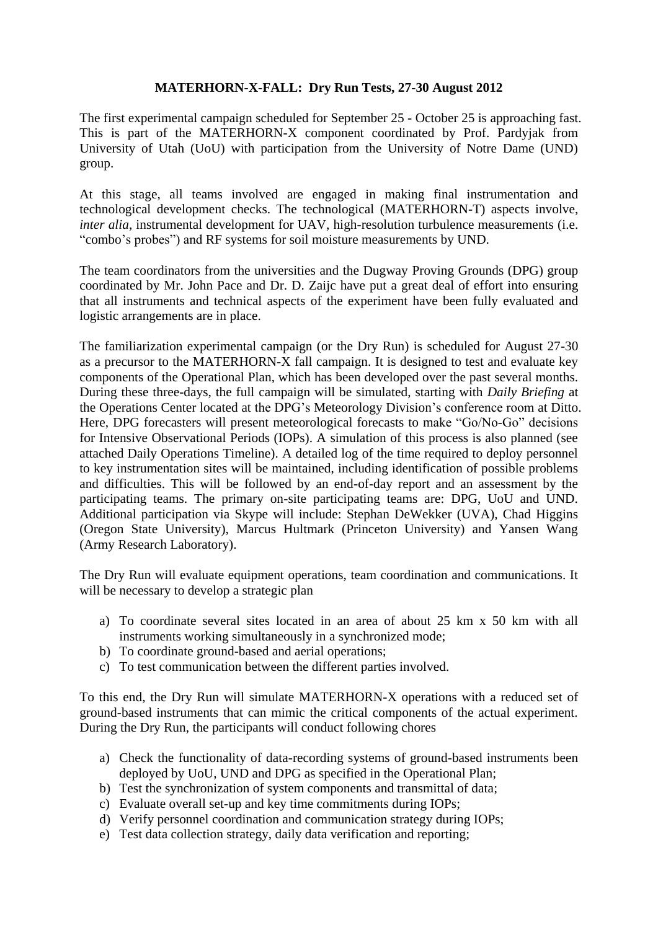# **MATERHORN-X-FALL: Dry Run Tests, 27-30 August 2012**

The first experimental campaign scheduled for September 25 - October 25 is approaching fast. This is part of the MATERHORN-X component coordinated by Prof. Pardyjak from University of Utah (UoU) with participation from the University of Notre Dame (UND) group.

At this stage, all teams involved are engaged in making final instrumentation and technological development checks. The technological (MATERHORN-T) aspects involve, *inter alia*, instrumental development for UAV, high-resolution turbulence measurements (i.e. "combo's probes") and RF systems for soil moisture measurements by UND.

The team coordinators from the universities and the Dugway Proving Grounds (DPG) group coordinated by Mr. John Pace and Dr. D. Zaijc have put a great deal of effort into ensuring that all instruments and technical aspects of the experiment have been fully evaluated and logistic arrangements are in place.

The familiarization experimental campaign (or the Dry Run) is scheduled for August 27-30 as a precursor to the MATERHORN-X fall campaign. It is designed to test and evaluate key components of the Operational Plan, which has been developed over the past several months. During these three-days, the full campaign will be simulated, starting with *Daily Briefing* at the Operations Center located at the DPG's Meteorology Division's conference room at Ditto. Here, DPG forecasters will present meteorological forecasts to make "Go/No-Go" decisions for Intensive Observational Periods (IOPs). A simulation of this process is also planned (see attached Daily Operations Timeline). A detailed log of the time required to deploy personnel to key instrumentation sites will be maintained, including identification of possible problems and difficulties. This will be followed by an end-of-day report and an assessment by the participating teams. The primary on-site participating teams are: DPG, UoU and UND. Additional participation via Skype will include: Stephan DeWekker (UVA), Chad Higgins (Oregon State University), Marcus Hultmark (Princeton University) and Yansen Wang (Army Research Laboratory).

The Dry Run will evaluate equipment operations, team coordination and communications. It will be necessary to develop a strategic plan

- a) To coordinate several sites located in an area of about 25 km x 50 km with all instruments working simultaneously in a synchronized mode;
- b) To coordinate ground-based and aerial operations;
- c) To test communication between the different parties involved.

To this end, the Dry Run will simulate MATERHORN-X operations with a reduced set of ground-based instruments that can mimic the critical components of the actual experiment. During the Dry Run, the participants will conduct following chores

- a) Check the functionality of data-recording systems of ground-based instruments been deployed by UoU, UND and DPG as specified in the Operational Plan;
- b) Test the synchronization of system components and transmittal of data;
- c) Evaluate overall set-up and key time commitments during IOPs;
- d) Verify personnel coordination and communication strategy during IOPs;
- e) Test data collection strategy, daily data verification and reporting;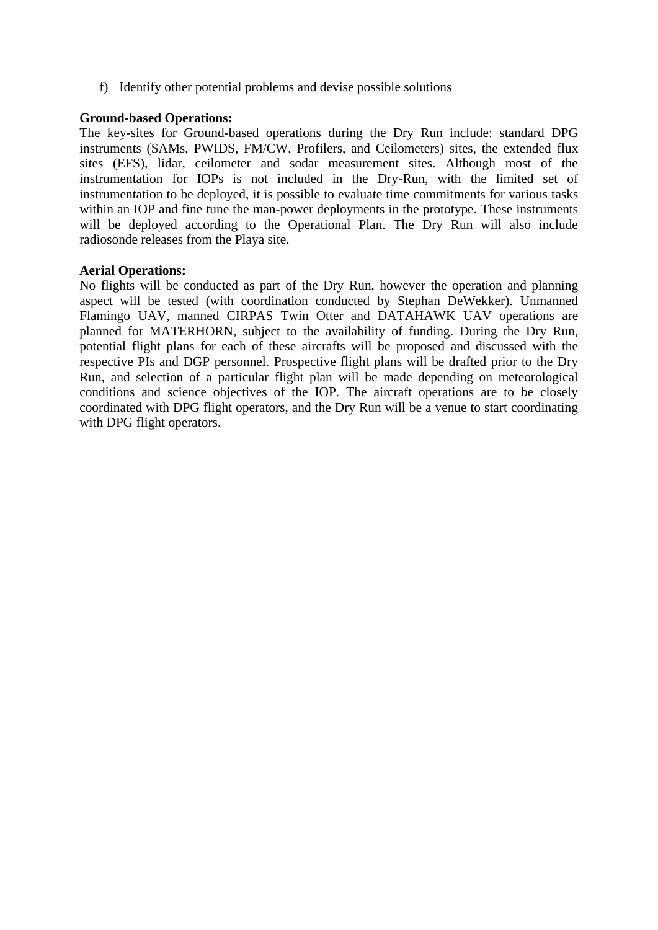f) Identify other potential problems and devise possible solutions

## **Ground-based Operations:**

The key-sites for Ground-based operations during the Dry Run include: standard DPG instruments (SAMs, PWIDS, FM/CW, Profilers, and Ceilometers) sites, the extended flux sites (EFS), lidar, ceilometer and sodar measurement sites. Although most of the instrumentation for IOPs is not included in the Dry-Run, with the limited set of instrumentation to be deployed, it is possible to evaluate time commitments for various tasks within an IOP and fine tune the man-power deployments in the prototype. These instruments will be deployed according to the Operational Plan. The Dry Run will also include radiosonde releases from the Playa site.

## **Aerial Operations:**

No flights will be conducted as part of the Dry Run, however the operation and planning aspect will be tested (with coordination conducted by Stephan DeWekker). Unmanned Flamingo UAV, manned CIRPAS Twin Otter and DATAHAWK UAV operations are planned for MATERHORN, subject to the availability of funding. During the Dry Run, potential flight plans for each of these aircrafts will be proposed and discussed with the respective PIs and DGP personnel. Prospective flight plans will be drafted prior to the Dry Run, and selection of a particular flight plan will be made depending on meteorological conditions and science objectives of the IOP. The aircraft operations are to be closely coordinated with DPG flight operators, and the Dry Run will be a venue to start coordinating with DPG flight operators.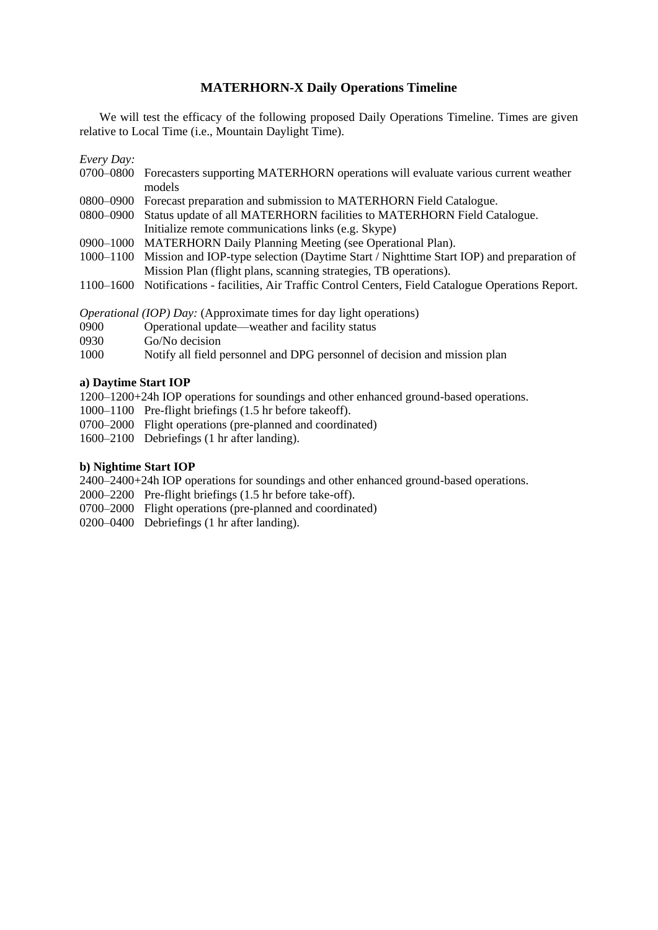## **MATERHORN-X Daily Operations Timeline**

We will test the efficacy of the following proposed Daily Operations Timeline. Times are given relative to Local Time (i.e., Mountain Daylight Time).

*Every Day:*

- 0700–0800 Forecasters supporting MATERHORN operations will evaluate various current weather models
- 0800–0900 Forecast preparation and submission to MATERHORN Field Catalogue.
- 0800–0900 Status update of all MATERHORN facilities to MATERHORN Field Catalogue.
- Initialize remote communications links (e.g. Skype)
- 0900–1000 MATERHORN Daily Planning Meeting (see Operational Plan).
- 1000–1100 Mission and IOP-type selection (Daytime Start / Nighttime Start IOP) and preparation of Mission Plan (flight plans, scanning strategies, TB operations).
- 1100–1600 Notifications facilities, Air Traffic Control Centers, Field Catalogue Operations Report.

*Operational (IOP) Day:* (Approximate times for day light operations)

- 0900 Operational update—weather and facility status
- 0930 Go/No decision
- 1000 Notify all field personnel and DPG personnel of decision and mission plan

### **a) Daytime Start IOP**

1200–1200+24h IOP operations for soundings and other enhanced ground-based operations.

- 1000–1100 Pre-flight briefings (1.5 hr before takeoff).
- 0700–2000 Flight operations (pre-planned and coordinated)
- 1600–2100 Debriefings (1 hr after landing).

### **b) Nightime Start IOP**

2400–2400+24h IOP operations for soundings and other enhanced ground-based operations.

- 2000–2200 Pre-flight briefings (1.5 hr before take-off).
- 0700–2000 Flight operations (pre-planned and coordinated)
- 0200–0400 Debriefings (1 hr after landing).